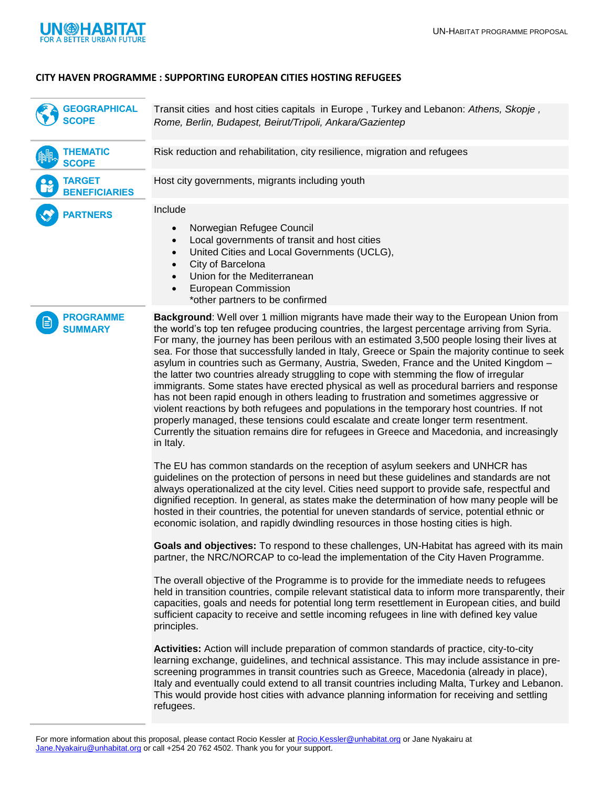

## **CITY HAVEN PROGRAMME : SUPPORTING EUROPEAN CITIES HOSTING REFUGEES**

Transit cities and host cities capitals in Europe , Turkey and Lebanon: *Athens, Skopje , Rome, Berlin, Budapest, Beirut/Tripoli, Ankara/Gazientep* **GEOGRAPHICAL SCOPE**

Risk reduction and rehabilitation, city resilience, migration and refugees Host city governments, migrants including youth Include • Norwegian Refugee Council Local governments of transit and host cities United Cities and Local Governments (UCLG), City of Barcelona • Union for the Mediterranean European Commission \*other partners to be confirmed **THEMATIC SCOPE TARGET BENEFICIARIES PARTNERS**



**Background**: Well over 1 million migrants have made their way to the European Union from the world's top ten refugee producing countries, the largest percentage arriving from Syria. For many, the journey has been perilous with an estimated 3,500 people losing their lives at sea. For those that successfully landed in Italy, Greece or Spain the majority continue to seek asylum in countries such as Germany, Austria, Sweden, France and the United Kingdom – the latter two countries already struggling to cope with stemming the flow of irregular immigrants. Some states have erected physical as well as procedural barriers and response has not been rapid enough in others leading to frustration and sometimes aggressive or violent reactions by both refugees and populations in the temporary host countries. If not properly managed, these tensions could escalate and create longer term resentment. Currently the situation remains dire for refugees in Greece and Macedonia, and increasingly in Italy.

The EU has common standards on the reception of asylum seekers and UNHCR has guidelines on the protection of persons in need but these guidelines and standards are not always operationalized at the city level. Cities need support to provide safe, respectful and dignified reception. In general, as states make the determination of how many people will be hosted in their countries, the potential for uneven standards of service, potential ethnic or economic isolation, and rapidly dwindling resources in those hosting cities is high.

**Goals and objectives:** To respond to these challenges, UN-Habitat has agreed with its main partner, the NRC/NORCAP to co-lead the implementation of the City Haven Programme.

The overall objective of the Programme is to provide for the immediate needs to refugees held in transition countries, compile relevant statistical data to inform more transparently, their capacities, goals and needs for potential long term resettlement in European cities, and build sufficient capacity to receive and settle incoming refugees in line with defined key value principles.

**Activities:** Action will include preparation of common standards of practice, city-to-city learning exchange, guidelines, and technical assistance. This may include assistance in prescreening programmes in transit countries such as Greece, Macedonia (already in place), Italy and eventually could extend to all transit countries including Malta, Turkey and Lebanon. This would provide host cities with advance planning information for receiving and settling refugees.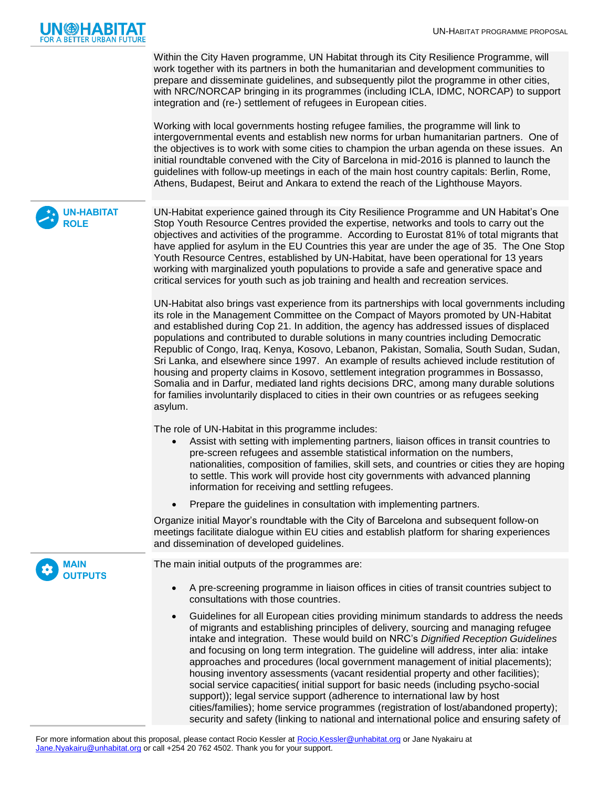

Within the City Haven programme, UN Habitat through its City Resilience Programme, will work together with its partners in both the humanitarian and development communities to prepare and disseminate guidelines, and subsequently pilot the programme in other cities, with NRC/NORCAP bringing in its programmes (including ICLA, IDMC, NORCAP) to support integration and (re-) settlement of refugees in European cities.

Working with local governments hosting refugee families, the programme will link to intergovernmental events and establish new norms for urban humanitarian partners. One of the objectives is to work with some cities to champion the urban agenda on these issues. An initial roundtable convened with the City of Barcelona in mid-2016 is planned to launch the guidelines with follow-up meetings in each of the main host country capitals: Berlin, Rome, Athens, Budapest, Beirut and Ankara to extend the reach of the Lighthouse Mayors.

**UN-HABITAT ROLE**

> **MAIN OUTPUTS**

UN-Habitat experience gained through its City Resilience Programme and UN Habitat's One Stop Youth Resource Centres provided the expertise, networks and tools to carry out the objectives and activities of the programme. According to Eurostat 81% of total migrants that have applied for asylum in the EU Countries this year are under the age of 35. The One Stop Youth Resource Centres, established by UN-Habitat, have been operational for 13 years working with marginalized youth populations to provide a safe and generative space and critical services for youth such as job training and health and recreation services.

UN-Habitat also brings vast experience from its partnerships with local governments including its role in the Management Committee on the Compact of Mayors promoted by UN-Habitat and established during Cop 21. In addition, the agency has addressed issues of displaced populations and contributed to durable solutions in many countries including Democratic Republic of Congo, Iraq, Kenya, Kosovo, Lebanon, Pakistan, Somalia, South Sudan, Sudan, Sri Lanka, and elsewhere since 1997. An example of results achieved include restitution of housing and property claims in Kosovo, settlement integration programmes in Bossasso, Somalia and in Darfur, mediated land rights decisions DRC, among many durable solutions for families involuntarily displaced to cities in their own countries or as refugees seeking asylum.

The role of UN-Habitat in this programme includes:

- Assist with setting with implementing partners, liaison offices in transit countries to pre-screen refugees and assemble statistical information on the numbers, nationalities, composition of families, skill sets, and countries or cities they are hoping to settle. This work will provide host city governments with advanced planning information for receiving and settling refugees.
- Prepare the guidelines in consultation with implementing partners.

Organize initial Mayor's roundtable with the City of Barcelona and subsequent follow-on meetings facilitate dialogue within EU cities and establish platform for sharing experiences and dissemination of developed guidelines.

The main initial outputs of the programmes are:

- A pre-screening programme in liaison offices in cities of transit countries subject to consultations with those countries.
- Guidelines for all European cities providing minimum standards to address the needs of migrants and establishing principles of delivery, sourcing and managing refugee intake and integration. These would build on NRC's *Dignified Reception Guidelines*  and focusing on long term integration. The guideline will address, inter alia: intake approaches and procedures (local government management of initial placements); housing inventory assessments (vacant residential property and other facilities); social service capacities( initial support for basic needs (including psycho-social support)); legal service support (adherence to international law by host cities/families); home service programmes (registration of lost/abandoned property); security and safety (linking to national and international police and ensuring safety of